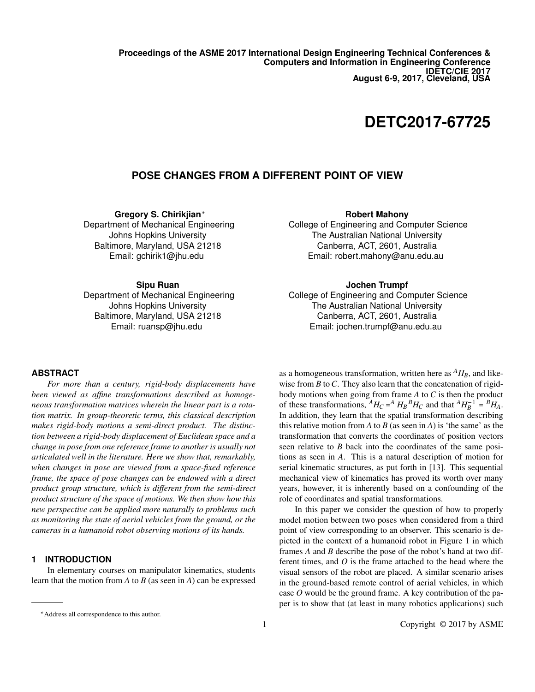**Proceedings of the ASME 2017 International Design Engineering Technical Conferences & Computers and Information in Engineering Conference IDETC/CIE 2017 August 6-9, 2017, Cleveland, USA**

# **DETC2017-67725**

## **POSE CHANGES FROM A DIFFERENT POINT OF VIEW**

**Gregory S. Chirikjian**<sup>∗</sup> Department of Mechanical Engineering Johns Hopkins University Baltimore, Maryland, USA 21218 Email: gchirik1@jhu.edu

#### **Sipu Ruan**

Department of Mechanical Engineering Johns Hopkins University Baltimore, Maryland, USA 21218 Email: ruansp@jhu.edu

#### **Robert Mahony**

College of Engineering and Computer Science The Australian National University Canberra, ACT, 2601, Australia Email: robert.mahony@anu.edu.au

## **Jochen Trumpf**

College of Engineering and Computer Science The Australian National University Canberra, ACT, 2601, Australia Email: jochen.trumpf@anu.edu.au

#### **ABSTRACT**

*For more than a century, rigid-body displacements have been viewed as affine transformations described as homogeneous transformation matrices wherein the linear part is a rotation matrix. In group-theoretic terms, this classical description makes rigid-body motions a semi-direct product. The distinction between a rigid-body displacement of Euclidean space and a change in pose from one reference frame to another is usually not articulated well in the literature. Here we show that, remarkably, when changes in pose are viewed from a space-fixed reference frame, the space of pose changes can be endowed with a direct product group structure, which is different from the semi-direct product structure of the space of motions. We then show how this new perspective can be applied more naturally to problems such as monitoring the state of aerial vehicles from the ground, or the cameras in a humanoid robot observing motions of its hands.*

## **1 INTRODUCTION**

In elementary courses on manipulator kinematics, students learn that the motion from *A* to *B* (as seen in *A*) can be expressed

as a homogeneous transformation, written here as  $^{A}H_{B}$ , and likewise from *B* to *C*. They also learn that the concatenation of rigidbody motions when going from frame *A* to *C* is then the product of these transformations,  $^{A}H_{C} = ^{A}H_{B}^{B}H_{C}$  and that  $^{A}H_{B}^{-1} = ^{B}H_{A}$ . In addition, they learn that the spatial transformation describing this relative motion from *A* to *B* (as seen in *A*) is 'the same' as the transformation that converts the coordinates of position vectors seen relative to *B* back into the coordinates of the same positions as seen in *A*. This is a natural description of motion for serial kinematic structures, as put forth in [13]. This sequential mechanical view of kinematics has proved its worth over many years, however, it is inherently based on a confounding of the role of coordinates and spatial transformations.

In this paper we consider the question of how to properly model motion between two poses when considered from a third point of view corresponding to an observer. This scenario is depicted in the context of a humanoid robot in Figure 1 in which frames *A* and *B* describe the pose of the robot's hand at two different times, and *O* is the frame attached to the head where the visual sensors of the robot are placed. A similar scenario arises in the ground-based remote control of aerial vehicles, in which case *O* would be the ground frame. A key contribution of the paper is to show that (at least in many robotics applications) such

<sup>∗</sup>Address all correspondence to this author.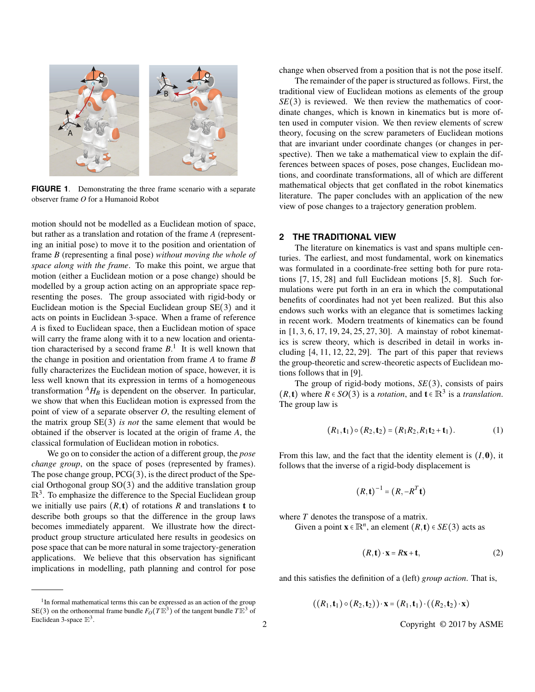

**FIGURE 1**. Demonstrating the three frame scenario with a separate observer frame *O* for a Humanoid Robot

motion should not be modelled as a Euclidean motion of space, but rather as a translation and rotation of the frame *A* (representing an initial pose) to move it to the position and orientation of frame *B* (representing a final pose) *without moving the whole of space along with the frame*. To make this point, we argue that motion (either a Euclidean motion or a pose change) should be modelled by a group action acting on an appropriate space representing the poses. The group associated with rigid-body or Euclidean motion is the Special Euclidean group SE(3) and it acts on points in Euclidean 3-space. When a frame of reference *A* is fixed to Euclidean space, then a Euclidean motion of space will carry the frame along with it to a new location and orientation characterised by a second frame  $B<sup>1</sup>$ . It is well known that the change in position and orientation from frame *A* to frame *B* fully characterizes the Euclidean motion of space, however, it is less well known that its expression in terms of a homogeneous transformation  $^{A}H_{B}$  is dependent on the observer. In particular, we show that when this Euclidean motion is expressed from the point of view of a separate observer *O*, the resulting element of the matrix group SE(3) *is not* the same element that would be obtained if the observer is located at the origin of frame *A*, the classical formulation of Euclidean motion in robotics.

We go on to consider the action of a different group, the *pose change group*, on the space of poses (represented by frames). The pose change group,  $PCG(3)$ , is the direct product of the Special Orthogonal group SO(3) and the additive translation group  $\mathbb{R}^{3}$ . To emphasize the difference to the Special Euclidean group we initially use pairs  $(R, t)$  of rotations  $R$  and translations  $t$  to describe both groups so that the difference in the group laws becomes immediately apparent. We illustrate how the directproduct group structure articulated here results in geodesics on pose space that can be more natural in some trajectory-generation applications. We believe that this observation has significant implications in modelling, path planning and control for pose

change when observed from a position that is not the pose itself.

The remainder of the paper is structured as follows. First, the traditional view of Euclidean motions as elements of the group  $SE(3)$  is reviewed. We then review the mathematics of coordinate changes, which is known in kinematics but is more often used in computer vision. We then review elements of screw theory, focusing on the screw parameters of Euclidean motions that are invariant under coordinate changes (or changes in perspective). Then we take a mathematical view to explain the differences between spaces of poses, pose changes, Euclidean motions, and coordinate transformations, all of which are different mathematical objects that get conflated in the robot kinematics literature. The paper concludes with an application of the new view of pose changes to a trajectory generation problem.

#### **2 THE TRADITIONAL VIEW**

The literature on kinematics is vast and spans multiple centuries. The earliest, and most fundamental, work on kinematics was formulated in a coordinate-free setting both for pure rotations [7, 15, 28] and full Euclidean motions [5, 8]. Such formulations were put forth in an era in which the computational benefits of coordinates had not yet been realized. But this also endows such works with an elegance that is sometimes lacking in recent work. Modern treatments of kinematics can be found in [1, 3, 6, 17, 19, 24, 25, 27, 30]. A mainstay of robot kinematics is screw theory, which is described in detail in works including [4, 11, 12, 22, 29]. The part of this paper that reviews the group-theoretic and screw-theoretic aspects of Euclidean motions follows that in [9].

The group of rigid-body motions, *SE*(3), consists of pairs  $(R, t)$  where  $R \in SO(3)$  is a *rotation*, and  $t \in \mathbb{R}^3$  is a *translation*. The group law is

$$
(R_1, \mathbf{t}_1) \circ (R_2, \mathbf{t}_2) = (R_1 R_2, R_1 \mathbf{t}_2 + \mathbf{t}_1). \tag{1}
$$

From this law, and the fact that the identity element is  $(I, 0)$ , it follows that the inverse of a rigid-body displacement is

$$
(R, \mathbf{t})^{-1} = (R, -R^T \mathbf{t})
$$

where *T* denotes the transpose of a matrix.

Given a point  $\mathbf{x} \in \mathbb{R}^n$ , an element  $(R, \mathbf{t}) \in SE(3)$  acts as

$$
(R, \mathbf{t}) \cdot \mathbf{x} = R\mathbf{x} + \mathbf{t},\tag{2}
$$

and this satisfies the definition of a (left) *group action*. That is,

$$
((R_1, t_1) \circ (R_2, t_2)) \cdot x = (R_1, t_1) \cdot ((R_2, t_2) \cdot x)
$$

 $1$ In formal mathematical terms this can be expressed as an action of the group SE(3) on the orthonormal frame bundle  $F_O(T\mathbb{E}^3)$  of the tangent bundle  $T\mathbb{E}^3$  of Euclidean 3-space  $\mathbb{E}^3$ .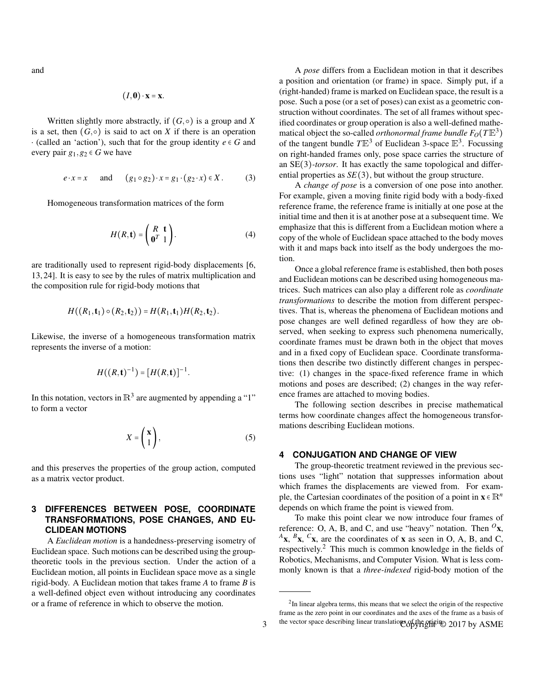and

$$
(I, \mathbf{0}) \cdot \mathbf{x} = \mathbf{x}.
$$

Written slightly more abstractly, if  $(G, \circ)$  is a group and X is a set, then  $(G, \circ)$  is said to act on *X* if there is an operation  $\cdot$  (called an 'action'), such that for the group identity  $e \in G$  and every pair  $g_1, g_2 \in G$  we have

$$
e \cdot x = x \quad \text{and} \quad (g_1 \circ g_2) \cdot x = g_1 \cdot (g_2 \cdot x) \in X. \tag{3}
$$

Homogeneous transformation matrices of the form

$$
H(R, \mathbf{t}) = \begin{pmatrix} R & \mathbf{t} \\ \mathbf{0}^T & 1 \end{pmatrix} . \tag{4}
$$

are traditionally used to represent rigid-body displacements [6, 13, 24]. It is easy to see by the rules of matrix multiplication and the composition rule for rigid-body motions that

$$
H((R_1, \mathbf{t}_1) \circ (R_2, \mathbf{t}_2)) = H(R_1, \mathbf{t}_1) H(R_2, \mathbf{t}_2).
$$

Likewise, the inverse of a homogeneous transformation matrix represents the inverse of a motion:

$$
H((R, \mathbf{t})^{-1}) = [H(R, \mathbf{t})]^{-1}.
$$

In this notation, vectors in  $\mathbb{R}^3$  are augmented by appending a "1" to form a vector

$$
X = \begin{pmatrix} \mathbf{x} \\ 1 \end{pmatrix},\tag{5}
$$

and this preserves the properties of the group action, computed as a matrix vector product.

## **3 DIFFERENCES BETWEEN POSE, COORDINATE TRANSFORMATIONS, POSE CHANGES, AND EU-CLIDEAN MOTIONS**

A *Euclidean motion* is a handedness-preserving isometry of Euclidean space. Such motions can be described using the grouptheoretic tools in the previous section. Under the action of a Euclidean motion, all points in Euclidean space move as a single rigid-body. A Euclidean motion that takes frame *A* to frame *B* is a well-defined object even without introducing any coordinates or a frame of reference in which to observe the motion.

A *pose* differs from a Euclidean motion in that it describes a position and orientation (or frame) in space. Simply put, if a (right-handed) frame is marked on Euclidean space, the result is a pose. Such a pose (or a set of poses) can exist as a geometric construction without coordinates. The set of all frames without specified coordinates or group operation is also a well-defined mathematical object the so-called *orthonormal frame bundle*  $F_O(T\mathbb{E}^3)$ of the tangent bundle  $T\mathbb{E}^3$  of Euclidean 3-space  $\mathbb{E}^3$ . Focussing on right-handed frames only, pose space carries the structure of an SE(3)*-torsor*. It has exactly the same topological and differential properties as  $SE(3)$ , but without the group structure.

A *change of pose* is a conversion of one pose into another. For example, given a moving finite rigid body with a body-fixed reference frame, the reference frame is initially at one pose at the initial time and then it is at another pose at a subsequent time. We emphasize that this is different from a Euclidean motion where a copy of the whole of Euclidean space attached to the body moves with it and maps back into itself as the body undergoes the motion.

Once a global reference frame is established, then both poses and Euclidean motions can be described using homogeneous matrices. Such matrices can also play a different role as *coordinate transformations* to describe the motion from different perspectives. That is, whereas the phenomena of Euclidean motions and pose changes are well defined regardless of how they are observed, when seeking to express such phenomena numerically, coordinate frames must be drawn both in the object that moves and in a fixed copy of Euclidean space. Coordinate transformations then describe two distinctly different changes in perspective: (1) changes in the space-fixed reference frame in which motions and poses are described; (2) changes in the way reference frames are attached to moving bodies.

The following section describes in precise mathematical terms how coordinate changes affect the homogeneous transformations describing Euclidean motions.

#### **4 CONJUGATION AND CHANGE OF VIEW**

The group-theoretic treatment reviewed in the previous sections uses "light" notation that suppresses information about which frames the displacements are viewed from. For example, the Cartesian coordinates of the position of a point in  $\mathbf{x} \in \mathbb{R}^n$ depends on which frame the point is viewed from.

To make this point clear we now introduce four frames of reference: O, A, B, and C, and use "heavy" notation. Then  $O_{\mathbf{X}}$ ,  $A$ **x**,  $B$ **x**,  $C$ **x**, are the coordinates of **x** as seen in O, A, B, and C, respectively.<sup>2</sup> This much is common knowledge in the fields of Robotics, Mechanisms, and Computer Vision. What is less commonly known is that a *three-indexed* rigid-body motion of the

 $2$ In linear algebra terms, this means that we select the origin of the respective frame as the zero point in our coordinates and the axes of the frame as a basis of the vector space describing linear translations of the original Could by ASME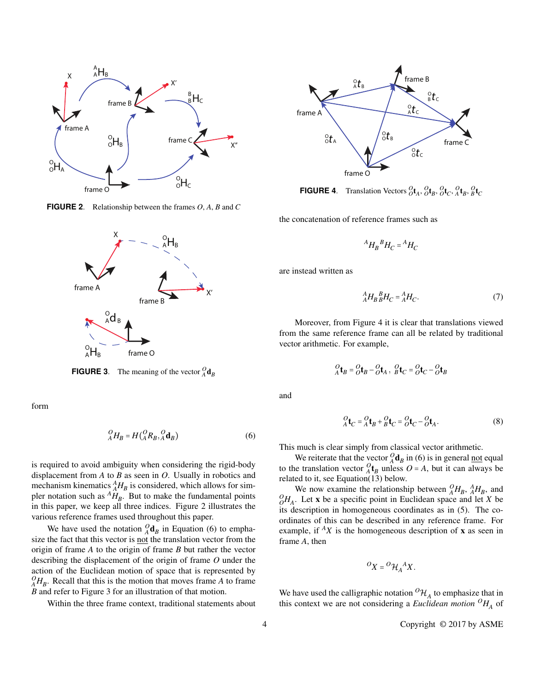

**FIGURE 2**. Relationship between the frames *O*, *A*, *B* and *C*



**FIGURE 3**. The meaning of the vector  ${}_{A}^{O}$ **d**<sub>*B*</sub>

form

$$
{}_{A}^{O}H_{B} = H({}^{O}_{A}R_{B}, {}^{O}_{A}\mathbf{d}_{B})
$$
\n<sup>(6)</sup>

is required to avoid ambiguity when considering the rigid-body displacement from *A* to *B* as seen in *O*. Usually in robotics and mechanism kinematics  $^{A}_{A}H_{B}$  is considered, which allows for simpler notation such as  $^{A}H_{B}$ . But to make the fundamental points in this paper, we keep all three indices. Figure 2 illustrates the various reference frames used throughout this paper.

We have used the notation  ${}_{A}^{O}$ **d**<sub>*B*</sub> in Equation (6) to emphasize the fact that this vector is not the translation vector from the origin of frame *A* to the origin of frame *B* but rather the vector describing the displacement of the origin of frame *O* under the action of the Euclidean motion of space that is represented by  ${}^{O}_{A}H_{B}$ . Recall that this is the motion that moves frame *A* to frame *B* and refer to Figure 3 for an illustration of that motion.

Within the three frame context, traditional statements about



**FIGURE 4**. Translation Vectors  ${}_{O}^{O}\textbf{t}_{A}$ ,  ${}_{O}^{O}\textbf{t}_{B}$ ,  ${}_{O}^{O}\textbf{t}_{C}$ ,  ${}_{A}^{O}\textbf{t}_{B}$ ,  ${}_{B}^{O}\textbf{t}_{C}$ 

the concatenation of reference frames such as

$$
{}^A H_B{}^B H_C = {}^A H_C
$$

are instead written as

$$
{}_{A}^{A}H_{B}{}_{B}^{B}H_{C} = {}_{A}^{A}H_{C}.
$$
 (7)

Moreover, from Figure 4 it is clear that translations viewed from the same reference frame can all be related by traditional vector arithmetic. For example,

$$
{}_{A}^{O}\mathbf{t}_{B} = {}_{O}^{O}\mathbf{t}_{B} - {}_{O}^{O}\mathbf{t}_{A}, \, {}_{B}^{O}\mathbf{t}_{C} = {}_{O}^{O}\mathbf{t}_{C} - {}_{O}^{O}\mathbf{t}_{B}
$$

and

$$
{}_{A}^{O}\mathbf{t}_{C} = {}_{A}^{O}\mathbf{t}_{B} + {}_{B}^{O}\mathbf{t}_{C} = {}_{O}^{O}\mathbf{t}_{C} - {}_{O}^{O}\mathbf{t}_{A}.
$$
 (8)

This much is clear simply from classical vector arithmetic.

We reiterate that the vector  ${}_{A}^{O}$ **d**<sub>*B*</sub> in (6) is in general <u>not</u> equal to the translation vector  ${}_{A}^{O}$ **t**<sub>B</sub> unless  $O = A$ , but it can always be related to it, see Equation(13) below.

We now examine the relationship between  ${}_{A}^{O}H_{B}$ ,  ${}_{A}^{A}H_{B}$ , and  $^{O}_{O}H_{A}$ . Let **x** be a specific point in Euclidean space and let *X* be its description in homogeneous coordinates as in (5). The coordinates of this can be described in any reference frame. For example, if  ${}^A X$  is the homogeneous description of **x** as seen in frame *A*, then

$$
{}^O X = {}^O \mathcal{H}_A {}^A X.
$$

We have used the calligraphic notation  ${}^{\circ}\mathcal{H}_A$  to emphasize that in this context we are not considering a *Euclidean motion*  ${}^{O}H_A$  of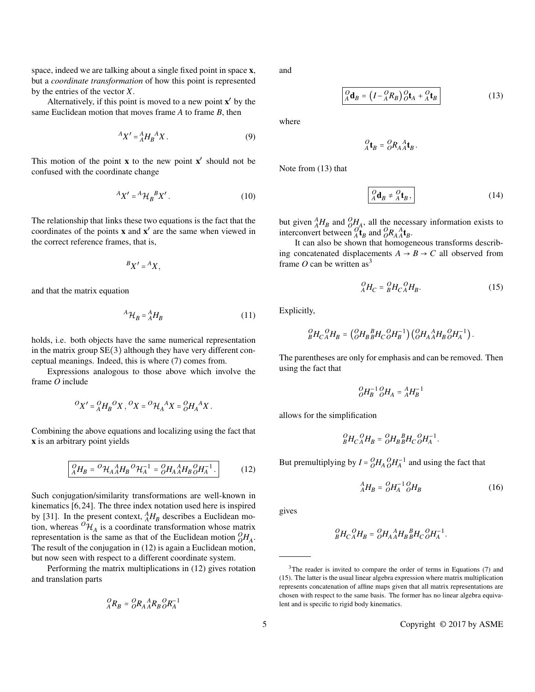space, indeed we are talking about a single fixed point in space x, but a *coordinate transformation* of how this point is represented by the entries of the vector *X*.

Alternatively, if this point is moved to a new point  $x'$  by the same Euclidean motion that moves frame *A* to frame *B*, then

$$
A X' = A A B A' X.
$$
 (9)

This motion of the point  $x$  to the new point  $x'$  should not be confused with the coordinate change

$$
^A X' = ^A \mathcal{H}_B^B X'.
$$
 (10)

The relationship that links these two equations is the fact that the coordinates of the points **x** and **x'** are the same when viewed in the correct reference frames, that is,

$$
{}^BX' = {}^AX,
$$

and that the matrix equation

$$
{}^{A}\mathcal{H}_{B} = {}^{A}_{A}H_{B} \tag{11}
$$

holds, i.e. both objects have the same numerical representation in the matrix group  $SE(3)$  although they have very different conceptual meanings. Indeed, this is where (7) comes from.

Expressions analogous to those above which involve the frame *O* include

$$
{}^O X' = {}^O_A H_B{}^O X \,, {}^O X = {}^O \mathcal{H}_A{}^A X = {}^O_A H_A{}^A X \,.
$$

Combining the above equations and localizing using the fact that x is an arbitrary point yields

$$
{}_{A}^{O}H_{B} = {}^{O}H_{A}{}_{A}^{A}H_{B}{}^{O}H_{A}^{-1} = {}_{O}^{O}H_{A}{}_{A}^{A}H_{B}{}_{O}^{O}H_{A}^{-1}.
$$
 (12)

Such conjugation/similarity transformations are well-known in kinematics [6, 24]. The three index notation used here is inspired by [31]. In the present context,  $^{A}_{A}H_{B}$  describes a Euclidean motion, whereas  ${}^{O}\mathcal{H}_A$  is a coordinate transformation whose matrix representation is the same as that of the Euclidean motion  ${}_{O}^{O}H_{A}$ . The result of the conjugation in (12) is again a Euclidean motion, but now seen with respect to a different coordinate system.

Performing the matrix multiplications in (12) gives rotation and translation parts

$$
{}_{A}^{O}R_{B} = {}_{O}^{O}R_{A} {}_{A}^{A}R_{B} {}_{O}^{O}R_{A}^{-1}
$$

and

$$
\left[\begin{array}{c}\n a_{B} = \left(I - {}^{O}_{A}R_{B}\right){}^{O}_{O}\mathbf{t}_{A} + {}^{O}_{A}\mathbf{t}_{B}\n\end{array}\right]
$$
\n(13)

.

where

$$
{}_{A}^{O}\mathbf{t}_{B} = {}_{O}^{O}R_{A}{}_{A}^{A}\mathbf{t}_{B}
$$

Note from (13) that

$$
\boxed{Q_{\mathbf{d}}\mathbf{d}_{B} \neq \mathbf{d}_{\mathbf{f}}\mathbf{t}_{B},}
$$
 (14)

but given  $^{A}_{A}H_{B}$  and  $^{O}_{O}H_{A}$ , all the necessary information exists to interconvert between  ${}_{A}^{O}$ **i**<sub>*B*</sub> and  ${}_{O}^{O}$ *R*<sub>*A*</sub><sup>*A*<sub>*A***</sub><sub>***B***</sub>.</sup></sub>** 

It can also be shown that homogeneous transforms describing concatenated displacements  $A \rightarrow B \rightarrow C$  all observed from frame  $O$  can be written as<sup>3</sup>

$$
{}_{A}^{O}H_{C} = {}_{B}^{O}H_{C} {}_{A}^{O}H_{B}. \qquad (15)
$$

Explicitly,

$$
{}_{B}^{O}H_{C}{}_{A}^{O}H_{B}=\left({}_{O}^{O}H_{B}{}_{B}^{B}H_{C}{}_{O}^{O}H_{B}^{-1}\right)\left({}_{O}^{O}H_{A}{}_{A}^{A}H_{B}{}_{O}^{O}H_{A}^{-1}\right).
$$

The parentheses are only for emphasis and can be removed. Then using the fact that

$$
_{O}^{O}\!H_{B}^{-1}\,_{O}^{O}\!H_{A}=_{A}^{A}\!H_{B}^{-1}
$$

allows for the simplification

$$
_{B}^{O}H_{C\,A}^{O}H_{B}=\ _{O}^{O}H_{B\,B}^{~~B}H_{C\,O}^{~~O}H_{A}^{-1}.
$$

But premultiplying by  $I = {}_{O}^{O}H_{A} {}_{O}^{O}H_{A}^{-1}$  and using the fact that

$$
{}_{A}^{A}H_{B} = {}_{O}^{O}H_{A}^{-1} {}_{O}^{O}H_{B}
$$
 (16)

gives

$$
{}_{B}^{O}H_{C}{}_{A}^{O}H_{B} = {}_{O}^{O}H_{A}{}_{A}^{A}H_{B}{}_{B}^{B}H_{C}{}_{O}^{O}H_{A}^{-1}.
$$

 $3$ The reader is invited to compare the order of terms in Equations (7) and (15). The latter is the usual linear algebra expression where matrix multiplication represents concatenation of affine maps given that all matrix representations are chosen with respect to the same basis. The former has no linear algebra equivalent and is specific to rigid body kinematics.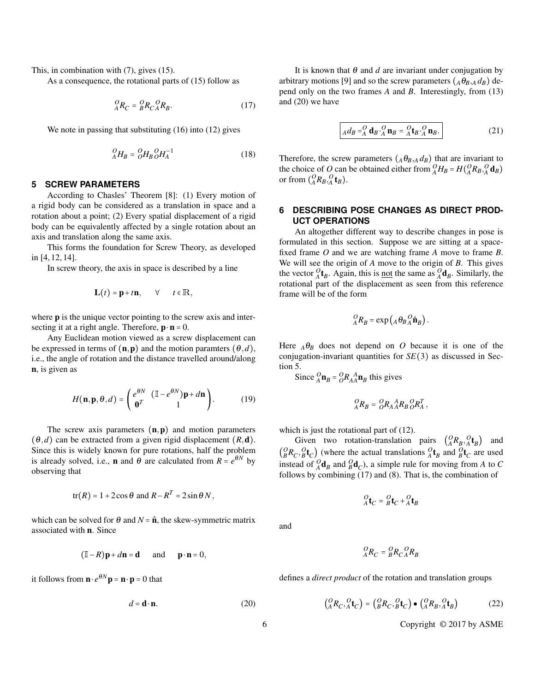This, in combination with (7), gives (15).

As a consequence, the rotational parts of (15) follow as

$$
{}_{A}^{O}R_{C} = {}_{B}^{O}R_{C} {}_{A}^{O}R_{B}. \tag{17}
$$

We note in passing that substituting  $(16)$  into  $(12)$  gives

$$
{}_{A}^{O}H_{B} = {}_{O}^{O}H_{B} {}_{O}^{O}H_{A}^{-1}
$$
 (18)

#### **5 SCREW PARAMETERS**

According to Chasles' Theorem [8]: (1) Every motion of a rigid body can be considered as a translation in space and a rotation about a point; (2) Every spatial displacement of a rigid body can be equivalently affected by a single rotation about an axis and translation along the same axis.

This forms the foundation for Screw Theory, as developed in [4, 12, 14].

In screw theory, the axis in space is described by a line

$$
\mathbf{L}(t) = \mathbf{p} + t\mathbf{n}, \qquad \forall \qquad t \in \mathbb{R},
$$

where **p** is the unique vector pointing to the screw axis and intersecting it at a right angle. Therefore,  $\mathbf{p} \cdot \mathbf{n} = 0$ .

Any Euclidean motion viewed as a screw displacement can be expressed in terms of  $(n, p)$  and the motion paramters  $(\theta, d)$ , i.e., the angle of rotation and the distance travelled around/along n, is given as

$$
H(\mathbf{n}, \mathbf{p}, \theta, d) = \begin{pmatrix} e^{\theta N} & (\mathbb{I} - e^{\theta N})\mathbf{p} + d\mathbf{n} \\ \mathbf{0}^T & 1 \end{pmatrix}.
$$
 (19)

The screw axis parameters  $(n, p)$  and motion parameters  $(\theta, d)$  can be extracted from a given rigid displacement  $(R, d)$ . Since this is widely known for pure rotations, half the problem is already solved, i.e., **n** and  $\theta$  are calculated from  $R = e^{\theta N}$  by observing that

$$
tr(R) = 1 + 2\cos\theta \text{ and } R - R^T = 2\sin\theta N,
$$

which can be solved for  $\theta$  and  $N = \hat{\mathbf{n}}$ , the skew-symmetric matrix associated with n. Since

$$
(\mathbb{I}-R)\mathbf{p} + d\mathbf{n} = \mathbf{d}
$$
 and  $\mathbf{p} \cdot \mathbf{n} = 0$ ,

it follows from  $\mathbf{n} \cdot e^{\theta N} \mathbf{p} = \mathbf{n} \cdot \mathbf{p} = 0$  that

$$
d = \mathbf{d} \cdot \mathbf{n}.\tag{20}
$$

It is known that  $\theta$  and  $d$  are invariant under conjugation by arbitrary motions [9] and so the screw parameters  $(A\theta_{B\setminus A}d_B)$  depend only on the two frames *A* and *B*. Interestingly, from (13) and (20) we have

$$
A d_B = A^Q A B A^Q A B B = A^Q A B A^Q A B.
$$
 (21)

Therefore, the screw parameters  $(A\theta_{B,A}d_B)$  that are invariant to the choice of *O* can be obtained either from  ${}_{A}^{O}H_{B} = H({}_{A}^{O}R_{B}, {}_{A}^{O}d_{B})$ or from  $\binom{O}{A}R_B$ ,  $\binom{O}{A}$ **t**<sub>*B*</sub>).

## **6 DESCRIBING POSE CHANGES AS DIRECT PROD-UCT OPERATIONS**

An altogether different way to describe changes in pose is formulated in this section. Suppose we are sitting at a spacefixed frame *O* and we are watching frame *A* move to frame *B*. We will see the origin of *A* move to the origin of *B*. This gives the vector  ${}^O_A\mathbf{t}_B$ . Again, this is <u>not</u> the same as  ${}^O_A\mathbf{d}_B$ . Similarly, the rotational part of the displacement as seen from this reference frame will be of the form

$$
{}_{A}^{O}R_{B} = \exp\left(A\,\theta_{B}\,{}_{A}^{O}\hat{\mathbf{n}}_{B}\right).
$$

Here  $_A\theta_B$  does not depend on *O* because it is one of the conjugation-invariant quantities for *SE*(3) as discussed in Section 5.

Since  ${}_{A}^{O}$ **n**<sub>*B*</sub> =  ${}_{O}^{O}$ *R***<sub>A</sub><sup>A</sup><b>n**<sub>*B*</sub> this gives

$$
_{A}^{O}R_{B}=\mathop{O}\limits^{O}R_{A\,A}^{\quad A}R_{B\,O}^{\quad O}R_{A}^{T}\,,
$$

which is just the rotational part of  $(12)$ .

Given two rotation-translation pairs  $\begin{pmatrix} Q_R, Q \ t_B, A \end{pmatrix}$  and  $\binom{O}{B}R_C, \frac{O}{B}t_C$  (where the actual translations  $\frac{O}{A}t_B$  and  $\frac{O}{B}t_C$  are used instead of  ${}_{A}^{O}$ **d**<sub>*B*</sub> and  ${}_{B}^{O}$ **d**<sub>*C*</sub>), a simple rule for moving from *A* to *C* follows by combining (17) and (8). That is, the combination of

$$
{}_{A}^{O}\mathbf{t}_{C} = {}_{B}^{O}\mathbf{t}_{C} + {}_{A}^{O}\mathbf{t}_{B}
$$

and

$$
{}_{A}^{O}R_{C} = {}_{B}^{O}R_{C} {}_{A}^{O}R_{B}
$$

defines a *direct product* of the rotation and translation groups

$$
\begin{pmatrix}\nO_{R_C}, O_{R_C} \\
A_{R_C}, A_{R_C}\n\end{pmatrix} = \begin{pmatrix}\nO_{R_C}, O_{R_C} \\
O_{R_B}, O_{R_B}\n\end{pmatrix} \bullet \begin{pmatrix}\nO_{R_B}, O_{R_B} \\
O_{R_B}, O_{R_B}\n\end{pmatrix} \tag{22}
$$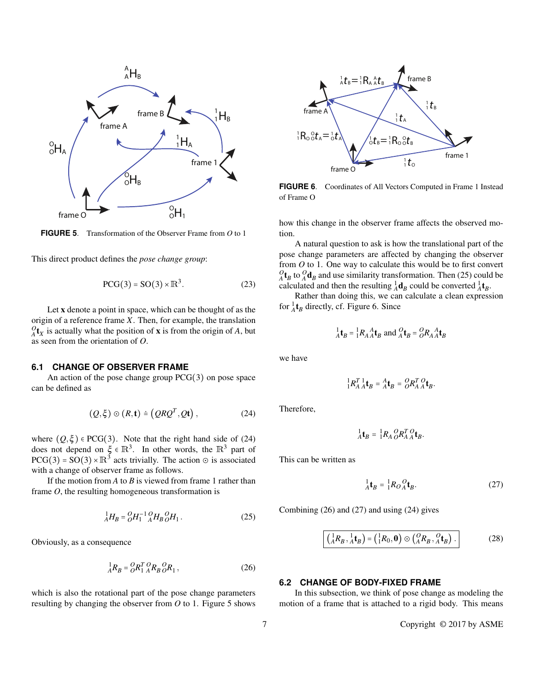

**FIGURE 5**. Transformation of the Observer Frame from *O* to 1

This direct product defines the *pose change group*:

$$
PCG(3) = SO(3) \times \mathbb{R}^3. \tag{23}
$$

Let x denote a point in space, which can be thought of as the origin of a reference frame *X*. Then, for example, the translation  $O_A(t_X)$  is actually what the position of **x** is from the origin of *A*, but as seen from the orientation of *O*.

#### **6.1 CHANGE OF OBSERVER FRAME**

An action of the pose change group PCG(3) on pose space can be defined as

$$
(Q, \xi) \odot (R, \mathbf{t}) \doteq (QRQ^{T}, Qt), \qquad (24)
$$

where  $(Q, \xi) \in PCG(3)$ . Note that the right hand side of (24) does not depend on  $\xi \in \mathbb{R}^3$ . In other words, the  $\mathbb{R}^3$  part of  $PCG(3) = SO(3) \times \mathbb{R}^3$  acts trivially. The action  $\odot$  is associated with a change of observer frame as follows.

If the motion from *A* to *B* is viewed from frame 1 rather than frame *O*, the resulting homogeneous transformation is

$$
{}_{A}^{1}H_{B} = {}_{O}^{O}H_{1}^{-1} {}_{A}^{O}H_{B} {}_{O}^{O}H_{1}. \qquad (25)
$$

Obviously, as a consequence

$$
{}_{A}^{1}R_{B} = {}_{O}^{O}R_{1}^{T} {}_{A}^{O}R_{B} {}_{O}^{O}R_{1} , \qquad (26)
$$

which is also the rotational part of the pose change parameters resulting by changing the observer from *O* to 1. Figure 5 shows



**FIGURE 6**. Coordinates of All Vectors Computed in Frame 1 Instead of Frame O

how this change in the observer frame affects the observed motion.

A natural question to ask is how the translational part of the pose change parameters are affected by changing the observer from *O* to 1. One way to calculate this would be to first convert  $O_A^0$  t<sub>*B*</sub> to  $O_A^0$  and use similarity transformation. Then (25) could be calculated and then the resulting  ${}^1_A \mathbf{d}_B$  could be converted  ${}^1_A \mathbf{t}_B$ .

Rather than doing this, we can calculate a clean expression for  ${}^1_A$ **t**<sub>B</sub> directly, cf. Figure 6. Since

$$
{}_{A}^{1}\mathbf{t}_{B} = {}_{1}^{1}R_{A}{}_{A}^{A}\mathbf{t}_{B} \text{ and } {}_{A}^{O}\mathbf{t}_{B} = {}_{O}^{O}R_{A}{}_{A}^{A}\mathbf{t}_{B}
$$

we have

$$
\frac{1}{4}R_A^T \mathbf{1}_{AB} = A \mathbf{t}_B = \underset{O}{O} R_A^T \mathbf{0}_{AB}.
$$

Therefore,

$$
{}^1_A\mathbf{t}_B = {}^1_1R_A{}^O_RR_A^T{}^O\mathbf{t}_B.
$$

This can be written as

$$
{}_{A}^{1}\mathbf{t}_{B} = {}_{1}^{1}R_{O}{}_{A}^{O}\mathbf{t}_{B}.
$$
 (27)

Combining (26) and (27) and using (24) gives

$$
\left(\frac{1}{A}R_B, \frac{1}{A}\mathbf{t}_B\right) = \left(\frac{1}{1}R_0, \mathbf{0}\right) \odot \left(\frac{O}{A}R_B, \frac{O}{A}\mathbf{t}_B\right). \tag{28}
$$

## **6.2 CHANGE OF BODY-FIXED FRAME**

In this subsection, we think of pose change as modeling the motion of a frame that is attached to a rigid body. This means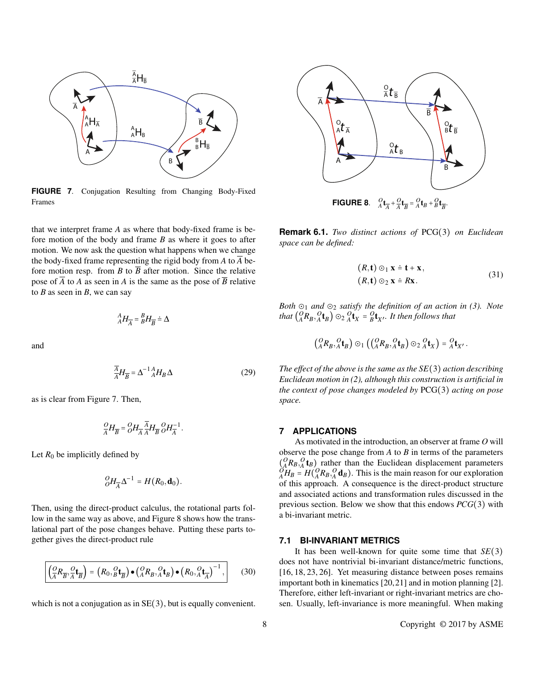

**FIGURE 7**. Conjugation Resulting from Changing Body-Fixed Frames

that we interpret frame *A* as where that body-fixed frame is before motion of the body and frame *B* as where it goes to after motion. We now ask the question what happens when we change the body-fixed frame representing the rigid body from A to  $\overline{A}$  before motion resp. from *B* to  $\overline{B}$  after motion. Since the relative pose of  $\overline{A}$  to *A* as seen in *A* is the same as the pose of  $\overline{B}$  relative to  $B$  as seen in  $B$ , we can say

$$
{}^{A}_{A}H_{\overline{A}} = {}^{B}_{B}H_{\overline{B}} \doteq \Delta
$$

and

$$
\frac{\overline{A}}{A}H_{\overline{B}} = \Delta^{-1}{}_{A}^{A}H_{B}\Delta
$$
\n(29)

as is clear from Figure 7. Then,

$$
\frac{O}{A}H_{\overline{B}} = \frac{O}{O}H_{\overline{A}} \frac{\overline{A}}{A}H_{\overline{B}} \frac{O}{O}H_{\overline{A}}^{-1}.
$$

Let  $R_0$  be implicitly defined by

$$
{}_{O}^{O}H_{\overline{A}}\Delta^{-1}=H(R_0,\mathbf{d}_0).
$$

Then, using the direct-product calculus, the rotational parts follow in the same way as above, and Figure 8 shows how the translational part of the pose changes behave. Putting these parts together gives the direct-product rule

$$
\left(\frac{Q}{A}R_{\overline{B}}, \frac{Q}{A}\mathbf{t}_{\overline{B}}\right) = \left(R_0, \frac{Q}{B}\mathbf{t}_{\overline{B}}\right) \bullet \left(\frac{Q}{A}R_B, \frac{Q}{A}\mathbf{t}_{\overline{B}}\right) \bullet \left(R_0, \frac{Q}{A}\mathbf{t}_{\overline{A}}\right)^{-1},\tag{30}
$$

which is not a conjugation as in  $SE(3)$ , but is equally convenient.



**Remark 6.1.** *Two distinct actions of* PCG(3) *on Euclidean space can be defined:*

$$
(R, t) \odot_1 x = t + x,
$$
  
\n
$$
(R, t) \odot_2 x = Rx.
$$
\n(31)

*Both* ⊙<sup>1</sup> *and* ⊙<sup>2</sup> *satisfy the definition of an action in (3). Note that*  $\begin{pmatrix} Q & R_B, Q & b \\ A & B \end{pmatrix}$   $\odot_2$   $\begin{pmatrix} Q & b \\ A' & X \end{pmatrix}$  =  $\begin{pmatrix} Q & b \\ b' & A' \end{pmatrix}$  *a H then follows that* 

$$
\left(\begin{matrix}\nO & O \\
A & B & A\n\end{matrix}\right) \odot_1 \left(\begin{matrix}\nO & O \\
A & B & A\n\end{matrix}\right) \odot_2 \begin{matrix}\nO & O \\
A & X\n\end{matrix}\right) = \begin{matrix}\nO & O \\
A & X'\n\end{matrix}.
$$

*The effect of the above is the same as the SE*(3) *action describing Euclidean motion in (2), although this construction is artificial in the context of pose changes modeled by* PCG(3) *acting on pose space.*

#### **7 APPLICATIONS**

As motivated in the introduction, an observer at frame *O* will observe the pose change from *A* to *B* in terms of the parameters  $\binom{Q}{A}R_B$ ,  $\binom{Q}{A}$  t<sub>B</sub>) rather than the Euclidean displacement parameters  $\binom{Q}{A}R_B = H\binom{Q}{A}R_B$ ,  $\binom{Q}{A}R_B$ . This is the main reason for our exploration of this approach. A consequence is the direct-product structure and associated actions and transformation rules discussed in the previous section. Below we show that this endows *PCG*(3) with a bi-invariant metric.

#### **7.1 BI-INVARIANT METRICS**

It has been well-known for quite some time that *SE*(3) does not have nontrivial bi-invariant distance/metric functions, [16, 18, 23, 26]. Yet measuring distance between poses remains important both in kinematics [20,21] and in motion planning [2]. Therefore, either left-invariant or right-invariant metrics are chosen. Usually, left-invariance is more meaningful. When making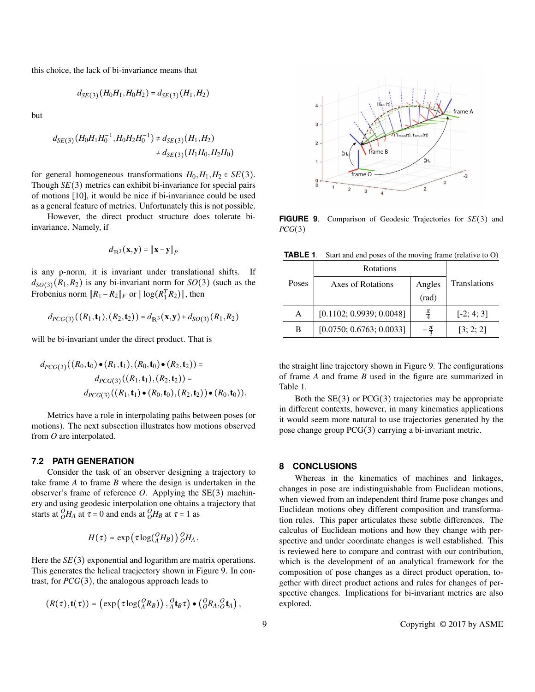this choice, the lack of bi-invariance means that

$$
d_{SE(3)}(H_0H_1, H_0H_2) = d_{SE(3)}(H_1, H_2)
$$

but

$$
d_{SE(3)}(H_0H_1H_0^{-1},H_0H_2H_0^{-1}) \neq d_{SE(3)}(H_1,H_2)
$$
  

$$
\neq d_{SE(3)}(H_1H_0,H_2H_0)
$$

for general homogeneous transformations  $H_0, H_1, H_2 \in SE(3)$ . Though *SE*(3) metrics can exhibit bi-invariance for special pairs of motions [10], it would be nice if bi-invariance could be used as a general feature of metrics. Unfortunately this is not possible.

However, the direct product structure does tolerate biinvariance. Namely, if

$$
d_{\mathbb{R}^3}(\mathbf{x}, \mathbf{y}) = \|\mathbf{x} - \mathbf{y}\|_p
$$

is any p-norm, it is invariant under translational shifts. If  $d_{SO(3)}(R_1,R_2)$  is any bi-invariant norm for  $SO(3)$  (such as the Frobenius norm  $||R_1 - R_2||_F$  or  $||log(R_1^T R_2)||$ , then

$$
d_{PCG(3)}((R_1, \mathbf{t}_1), (R_2, \mathbf{t}_2)) = d_{\mathbb{R}^3}(\mathbf{x}, \mathbf{y}) + d_{SO(3)}(R_1, R_2)
$$

will be bi-invariant under the direct product. That is

$$
d_{PCG(3)}((R_0, t_0) \bullet (R_1, t_1), (R_0, t_0) \bullet (R_2, t_2)) =
$$
  
\n
$$
d_{PCG(3)}((R_1, t_1), (R_2, t_2)) =
$$
  
\n
$$
d_{PCG(3)}((R_1, t_1) \bullet (R_0, t_0), (R_2, t_2)) \bullet (R_0, t_0)).
$$

Metrics have a role in interpolating paths between poses (or motions). The next subsection illustrates how motions observed from *O* are interpolated.

## **7.2 PATH GENERATION**

Consider the task of an observer designing a trajectory to take frame *A* to frame *B* where the design is undertaken in the observer's frame of reference *O*. Applying the SE(3) machinery and using geodesic interpolation one obtains a trajectory that starts at  $^{O}_{O}H_{A}$  at  $\tau = 0$  and ends at  $^{O}_{O}H_{B}$  at  $\tau = 1$  as

$$
H(\tau) = \exp\left(\tau \log({^O_AH_B})\right) {}^O_OH_A.
$$

Here the *SE*(3) exponential and logarithm are matrix operations. This generates the helical tracjectory shown in Figure 9. In contrast, for *PCG*(3), the analogous approach leads to

$$
(R(\tau), \mathbf{t}(\tau)) = (\exp(\tau \log({}^0_A R_B)), {}^0_A \mathbf{t}_B \tau) \bullet ({}^0_B R_A, {}^0_O \mathbf{t}_A),
$$



**FIGURE 9**. Comparison of Geodesic Trajectories for *SE*(3) and *PCG*(3)

**TABLE 1**. Start and end poses of the moving frame (relative to O)

|       | Rotations                |                 |                     |
|-------|--------------------------|-----------------|---------------------|
| Poses | Axes of Rotations        | Angles          | <b>Translations</b> |
|       |                          | (rad)           |                     |
| A     | [0.1102; 0.9939; 0.0048] | $\frac{\pi}{4}$ | $[-2; 4; 3]$        |
| в     | [0.0750; 0.6763; 0.0033] |                 | [3; 2; 2]           |

the straight line trajectory shown in Figure 9. The configurations of frame *A* and frame *B* used in the figure are summarized in Table 1.

Both the  $SE(3)$  or  $PCG(3)$  trajectories may be appropriate in different contexts, however, in many kinematics applications it would seem more natural to use trajectories generated by the pose change group PCG(3) carrying a bi-invariant metric.

## **8 CONCLUSIONS**

Whereas in the kinematics of machines and linkages, changes in pose are indistinguishable from Euclidean motions, when viewed from an independent third frame pose changes and Euclidean motions obey different composition and transformation rules. This paper articulates these subtle differences. The calculus of Euclidean motions and how they change with perspective and under coordinate changes is well established. This is reviewed here to compare and contrast with our contribution, which is the development of an analytical framework for the composition of pose changes as a direct product operation, together with direct product actions and rules for changes of perspective changes. Implications for bi-invariant metrics are also explored.